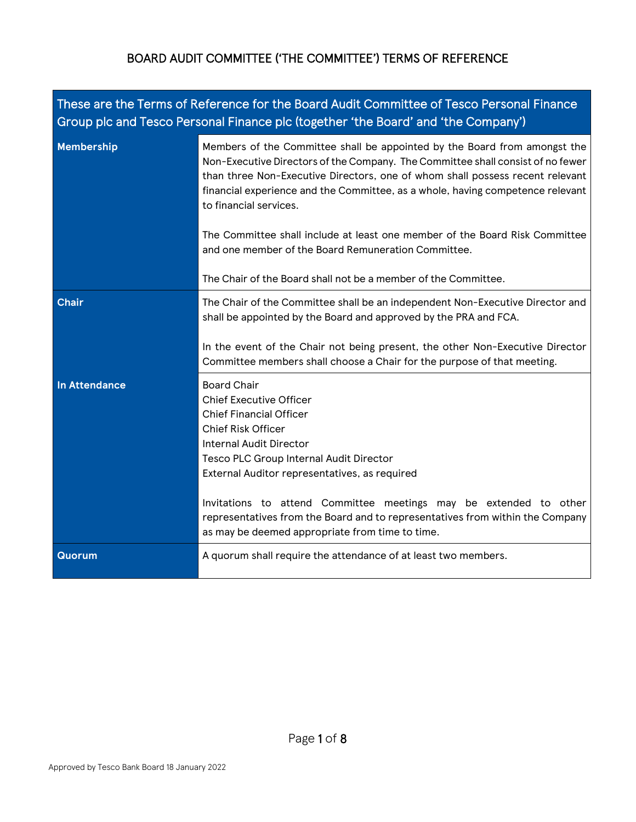| These are the Terms of Reference for the Board Audit Committee of Tesco Personal Finance<br>Group plc and Tesco Personal Finance plc (together 'the Board' and 'the Company') |                                                                                                                                                                                                                                                                                                                                                                                                         |  |
|-------------------------------------------------------------------------------------------------------------------------------------------------------------------------------|---------------------------------------------------------------------------------------------------------------------------------------------------------------------------------------------------------------------------------------------------------------------------------------------------------------------------------------------------------------------------------------------------------|--|
| Membership                                                                                                                                                                    | Members of the Committee shall be appointed by the Board from amongst the<br>Non-Executive Directors of the Company. The Committee shall consist of no fewer<br>than three Non-Executive Directors, one of whom shall possess recent relevant<br>financial experience and the Committee, as a whole, having competence relevant<br>to financial services.                                               |  |
|                                                                                                                                                                               | The Committee shall include at least one member of the Board Risk Committee<br>and one member of the Board Remuneration Committee.                                                                                                                                                                                                                                                                      |  |
|                                                                                                                                                                               | The Chair of the Board shall not be a member of the Committee.                                                                                                                                                                                                                                                                                                                                          |  |
| <b>Chair</b>                                                                                                                                                                  | The Chair of the Committee shall be an independent Non-Executive Director and<br>shall be appointed by the Board and approved by the PRA and FCA.<br>In the event of the Chair not being present, the other Non-Executive Director<br>Committee members shall choose a Chair for the purpose of that meeting.                                                                                           |  |
| In Attendance                                                                                                                                                                 | <b>Board Chair</b><br><b>Chief Executive Officer</b><br><b>Chief Financial Officer</b><br><b>Chief Risk Officer</b><br><b>Internal Audit Director</b><br>Tesco PLC Group Internal Audit Director<br>External Auditor representatives, as required<br>Invitations to attend Committee meetings may be extended to other<br>representatives from the Board and to representatives from within the Company |  |
|                                                                                                                                                                               | as may be deemed appropriate from time to time.                                                                                                                                                                                                                                                                                                                                                         |  |
| <b>Quorum</b>                                                                                                                                                                 | A quorum shall require the attendance of at least two members.                                                                                                                                                                                                                                                                                                                                          |  |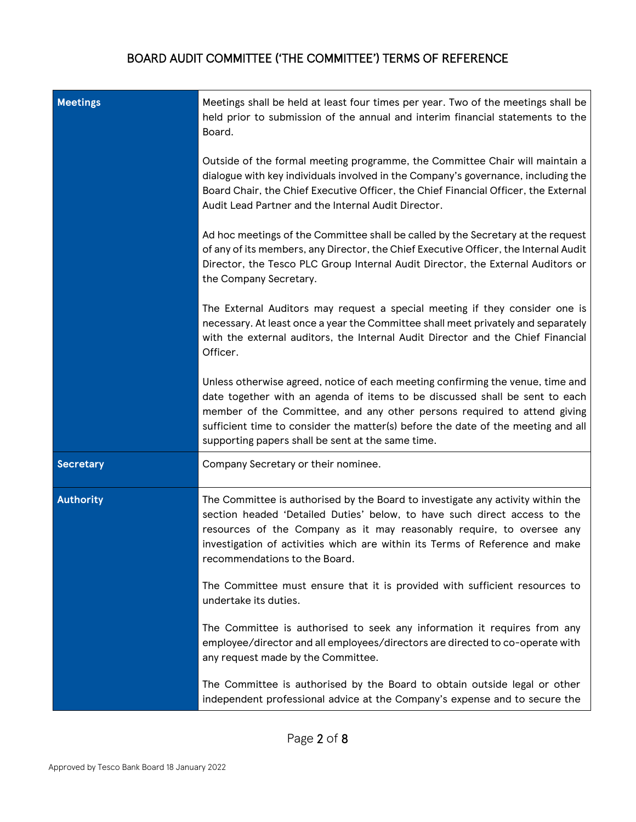| <b>Meetings</b>  | Meetings shall be held at least four times per year. Two of the meetings shall be<br>held prior to submission of the annual and interim financial statements to the<br>Board.                                                                                                                                                                                                      |
|------------------|------------------------------------------------------------------------------------------------------------------------------------------------------------------------------------------------------------------------------------------------------------------------------------------------------------------------------------------------------------------------------------|
|                  | Outside of the formal meeting programme, the Committee Chair will maintain a<br>dialogue with key individuals involved in the Company's governance, including the<br>Board Chair, the Chief Executive Officer, the Chief Financial Officer, the External<br>Audit Lead Partner and the Internal Audit Director.                                                                    |
|                  | Ad hoc meetings of the Committee shall be called by the Secretary at the request<br>of any of its members, any Director, the Chief Executive Officer, the Internal Audit<br>Director, the Tesco PLC Group Internal Audit Director, the External Auditors or<br>the Company Secretary.                                                                                              |
|                  | The External Auditors may request a special meeting if they consider one is<br>necessary. At least once a year the Committee shall meet privately and separately<br>with the external auditors, the Internal Audit Director and the Chief Financial<br>Officer.                                                                                                                    |
|                  | Unless otherwise agreed, notice of each meeting confirming the venue, time and<br>date together with an agenda of items to be discussed shall be sent to each<br>member of the Committee, and any other persons required to attend giving<br>sufficient time to consider the matter(s) before the date of the meeting and all<br>supporting papers shall be sent at the same time. |
| <b>Secretary</b> | Company Secretary or their nominee.                                                                                                                                                                                                                                                                                                                                                |
| <b>Authority</b> | The Committee is authorised by the Board to investigate any activity within the<br>section headed 'Detailed Duties' below, to have such direct access to the<br>resources of the Company as it may reasonably require, to oversee any<br>investigation of activities which are within its Terms of Reference and make<br>recommendations to the Board.                             |
|                  | The Committee must ensure that it is provided with sufficient resources to<br>undertake its duties.                                                                                                                                                                                                                                                                                |
|                  | The Committee is authorised to seek any information it requires from any<br>employee/director and all employees/directors are directed to co-operate with<br>any request made by the Committee.                                                                                                                                                                                    |
|                  | The Committee is authorised by the Board to obtain outside legal or other<br>independent professional advice at the Company's expense and to secure the                                                                                                                                                                                                                            |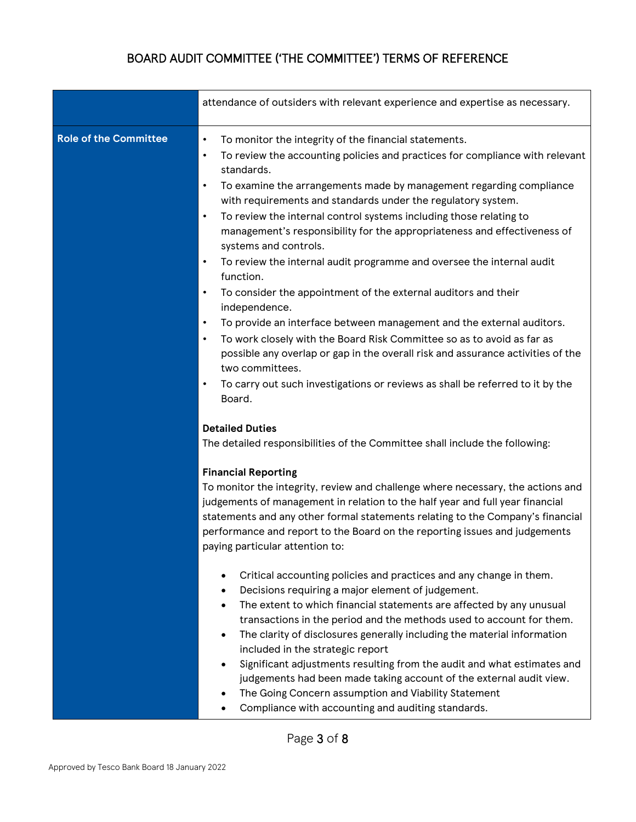|                              | attendance of outsiders with relevant experience and expertise as necessary.                                                                                                                                                                                                                                                                                                                                                                                                                                                                                                                                                                                                                                                                                                                                                                                                                                                                                                                                                                                                                               |
|------------------------------|------------------------------------------------------------------------------------------------------------------------------------------------------------------------------------------------------------------------------------------------------------------------------------------------------------------------------------------------------------------------------------------------------------------------------------------------------------------------------------------------------------------------------------------------------------------------------------------------------------------------------------------------------------------------------------------------------------------------------------------------------------------------------------------------------------------------------------------------------------------------------------------------------------------------------------------------------------------------------------------------------------------------------------------------------------------------------------------------------------|
| <b>Role of the Committee</b> | To monitor the integrity of the financial statements.<br>$\bullet$<br>To review the accounting policies and practices for compliance with relevant<br>$\bullet$<br>standards.<br>To examine the arrangements made by management regarding compliance<br>$\bullet$<br>with requirements and standards under the regulatory system.<br>To review the internal control systems including those relating to<br>$\bullet$<br>management's responsibility for the appropriateness and effectiveness of<br>systems and controls.<br>To review the internal audit programme and oversee the internal audit<br>$\bullet$<br>function.<br>To consider the appointment of the external auditors and their<br>$\bullet$<br>independence.<br>To provide an interface between management and the external auditors.<br>$\bullet$<br>To work closely with the Board Risk Committee so as to avoid as far as<br>$\bullet$<br>possible any overlap or gap in the overall risk and assurance activities of the<br>two committees.<br>To carry out such investigations or reviews as shall be referred to it by the<br>Board. |
|                              | <b>Detailed Duties</b><br>The detailed responsibilities of the Committee shall include the following:<br><b>Financial Reporting</b><br>To monitor the integrity, review and challenge where necessary, the actions and<br>judgements of management in relation to the half year and full year financial<br>statements and any other formal statements relating to the Company's financial<br>performance and report to the Board on the reporting issues and judgements<br>paying particular attention to:                                                                                                                                                                                                                                                                                                                                                                                                                                                                                                                                                                                                 |
|                              | Critical accounting policies and practices and any change in them.<br>Decisions requiring a major element of judgement.<br>The extent to which financial statements are affected by any unusual<br>transactions in the period and the methods used to account for them.<br>The clarity of disclosures generally including the material information<br>$\bullet$<br>included in the strategic report<br>Significant adjustments resulting from the audit and what estimates and<br>judgements had been made taking account of the external audit view.<br>The Going Concern assumption and Viability Statement<br>Compliance with accounting and auditing standards.                                                                                                                                                                                                                                                                                                                                                                                                                                        |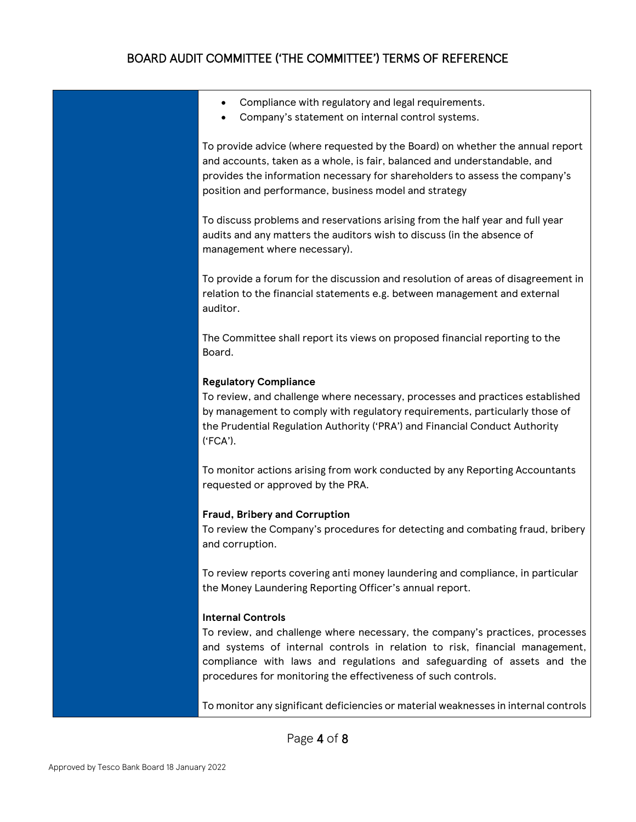- Compliance with regulatory and legal requirements.
- Company's statement on internal control systems.

To provide advice (where requested by the Board) on whether the annual report and accounts, taken as a whole, is fair, balanced and understandable, and provides the information necessary for shareholders to assess the company's position and performance, business model and strategy

To discuss problems and reservations arising from the half year and full year audits and any matters the auditors wish to discuss (in the absence of management where necessary).

To provide a forum for the discussion and resolution of areas of disagreement in relation to the financial statements e.g. between management and external auditor.

The Committee shall report its views on proposed financial reporting to the Board.

### **Regulatory Compliance**

To review, and challenge where necessary, processes and practices established by management to comply with regulatory requirements, particularly those of the Prudential Regulation Authority ('PRA') and Financial Conduct Authority ('FCA').

To monitor actions arising from work conducted by any Reporting Accountants requested or approved by the PRA.

### **Fraud, Bribery and Corruption**

To review the Company's procedures for detecting and combating fraud, bribery and corruption.

To review reports covering anti money laundering and compliance, in particular the Money Laundering Reporting Officer's annual report.

### **Internal Controls**

To review, and challenge where necessary, the company's practices, processes and systems of internal controls in relation to risk, financial management, compliance with laws and regulations and safeguarding of assets and the procedures for monitoring the effectiveness of such controls.

To monitor any significant deficiencies or material weaknesses in internal controls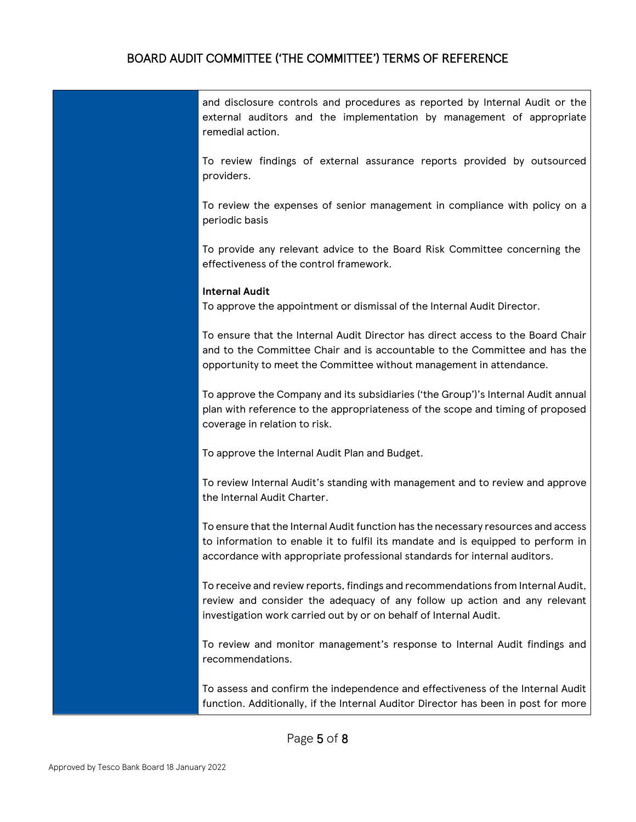and disclosure controls and procedures as reported by Internal Audit or the external auditors and the implementation by management of appropriate remedial action.

To review findings of external assurance reports provided by outsourced providers.

To review the expenses of senior management in compliance with policy on a periodic basis

To provide any relevant advice to the Board Risk Committee concerning the effectiveness of the control framework.

#### **Internal Audit**

To approve the appointment or dismissal of the Internal Audit Director.

To ensure that the Internal Audit Director has direct access to the Board Chair and to the Committee Chair and is accountable to the Committee and has the opportunity to meet the Committee without management in attendance.

To approve the Company and its subsidiaries ('the Group')'s Internal Audit annual plan with reference to the appropriateness of the scope and timing of proposed coverage in relation to risk.

To approve the Internal Audit Plan and Budget.

To review Internal Audit's standing with management and to review and approve the Internal Audit Charter.

To ensure that the Internal Audit function has the necessary resources and access to information to enable it to fulfil its mandate and is equipped to perform in accordance with appropriate professional standards for internal auditors.

To receive and review reports, findings and recommendations from Internal Audit, review and consider the adequacy of any follow up action and any relevant investigation work carried out by or on behalf of Internal Audit.

To review and monitor management's response to Internal Audit findings and recommendations.

To assess and confirm the independence and effectiveness of the Internal Audit function. Additionally, if the Internal Auditor Director has been in post for more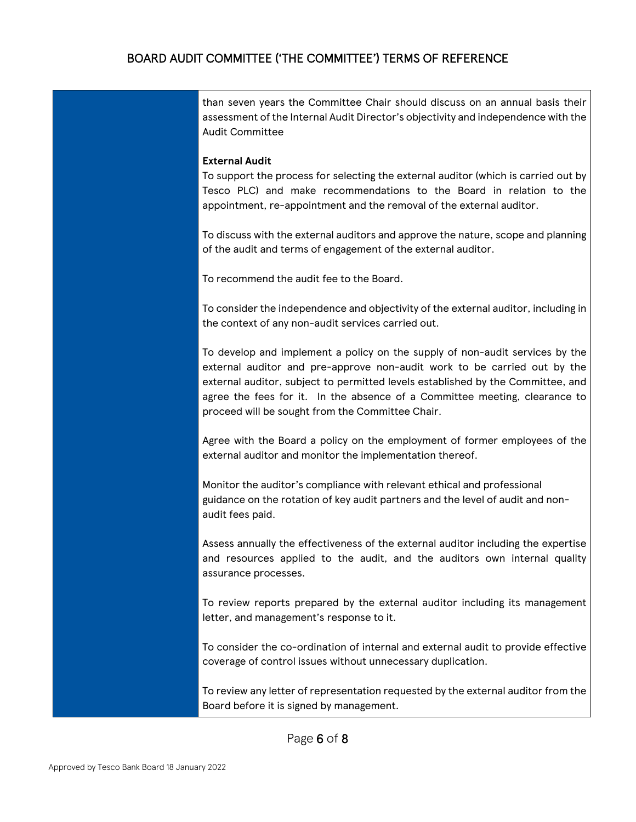than seven years the Committee Chair should discuss on an annual basis their assessment of the Internal Audit Director's objectivity and independence with the Audit Committee

#### **External Audit**

To support the process for selecting the external auditor (which is carried out by Tesco PLC) and make recommendations to the Board in relation to the appointment, re-appointment and the removal of the external auditor.

To discuss with the external auditors and approve the nature, scope and planning of the audit and terms of engagement of the external auditor.

To recommend the audit fee to the Board.

To consider the independence and objectivity of the external auditor, including in the context of any non-audit services carried out.

To develop and implement a policy on the supply of non-audit services by the external auditor and pre-approve non-audit work to be carried out by the external auditor, subject to permitted levels established by the Committee, and agree the fees for it. In the absence of a Committee meeting, clearance to proceed will be sought from the Committee Chair.

Agree with the Board a policy on the employment of former employees of the external auditor and monitor the implementation thereof.

Monitor the auditor's compliance with relevant ethical and professional guidance on the rotation of key audit partners and the level of audit and nonaudit fees paid.

Assess annually the effectiveness of the external auditor including the expertise and resources applied to the audit, and the auditors own internal quality assurance processes.

To review reports prepared by the external auditor including its management letter, and management's response to it.

To consider the co-ordination of internal and external audit to provide effective coverage of control issues without unnecessary duplication.

To review any letter of representation requested by the external auditor from the Board before it is signed by management.

Page 6 of 8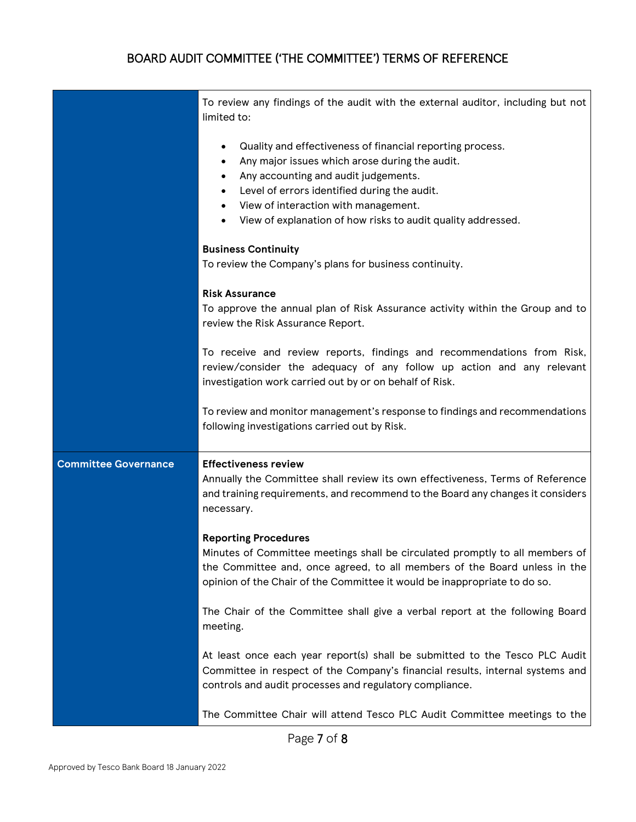|                             | To review any findings of the audit with the external auditor, including but not<br>limited to:                                                                                                                                                                                                                                                      |
|-----------------------------|------------------------------------------------------------------------------------------------------------------------------------------------------------------------------------------------------------------------------------------------------------------------------------------------------------------------------------------------------|
|                             | Quality and effectiveness of financial reporting process.<br>٠<br>Any major issues which arose during the audit.<br>$\bullet$<br>Any accounting and audit judgements.<br>$\bullet$<br>Level of errors identified during the audit.<br>٠<br>View of interaction with management.<br>٠<br>View of explanation of how risks to audit quality addressed. |
|                             | <b>Business Continuity</b>                                                                                                                                                                                                                                                                                                                           |
|                             | To review the Company's plans for business continuity.                                                                                                                                                                                                                                                                                               |
|                             | <b>Risk Assurance</b>                                                                                                                                                                                                                                                                                                                                |
|                             | To approve the annual plan of Risk Assurance activity within the Group and to<br>review the Risk Assurance Report.                                                                                                                                                                                                                                   |
|                             | To receive and review reports, findings and recommendations from Risk,<br>review/consider the adequacy of any follow up action and any relevant<br>investigation work carried out by or on behalf of Risk.                                                                                                                                           |
|                             | To review and monitor management's response to findings and recommendations<br>following investigations carried out by Risk.                                                                                                                                                                                                                         |
| <b>Committee Governance</b> | <b>Effectiveness review</b><br>Annually the Committee shall review its own effectiveness, Terms of Reference<br>and training requirements, and recommend to the Board any changes it considers<br>necessary.                                                                                                                                         |
|                             | <b>Reporting Procedures</b><br>Minutes of Committee meetings shall be circulated promptly to all members of<br>the Committee and, once agreed, to all members of the Board unless in the<br>opinion of the Chair of the Committee it would be inappropriate to do so.                                                                                |
|                             | The Chair of the Committee shall give a verbal report at the following Board<br>meeting.                                                                                                                                                                                                                                                             |
|                             | At least once each year report(s) shall be submitted to the Tesco PLC Audit<br>Committee in respect of the Company's financial results, internal systems and<br>controls and audit processes and regulatory compliance.                                                                                                                              |
|                             | The Committee Chair will attend Tesco PLC Audit Committee meetings to the                                                                                                                                                                                                                                                                            |